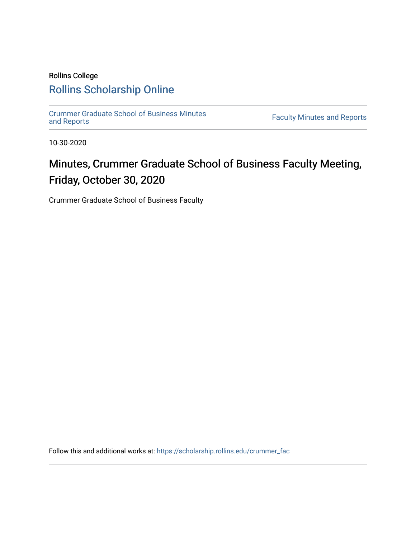# Rollins College [Rollins Scholarship Online](https://scholarship.rollins.edu/)

[Crummer Graduate School of Business Minutes](https://scholarship.rollins.edu/crummer_fac) 

**Faculty Minutes [and Reports](https://scholarship.rollins.edu/crummer_fac)** 

10-30-2020

# Minutes, Crummer Graduate School of Business Faculty Meeting, Friday, October 30, 2020

Crummer Graduate School of Business Faculty

Follow this and additional works at: [https://scholarship.rollins.edu/crummer\\_fac](https://scholarship.rollins.edu/crummer_fac?utm_source=scholarship.rollins.edu%2Fcrummer_fac%2F119&utm_medium=PDF&utm_campaign=PDFCoverPages)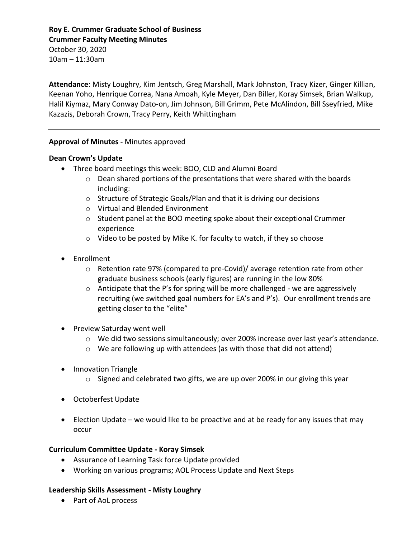### **Roy E. Crummer Graduate School of Business Crummer Faculty Meeting Minutes**

October 30, 2020 10am – 11:30am

**Attendance**: Misty Loughry, Kim Jentsch, Greg Marshall, Mark Johnston, Tracy Kizer, Ginger Killian, Keenan Yoho, Henrique Correa, Nana Amoah, Kyle Meyer, Dan Biller, Koray Simsek, Brian Walkup, Halil Kiymaz, Mary Conway Dato-on, Jim Johnson, Bill Grimm, Pete McAlindon, Bill Sseyfried, Mike Kazazis, Deborah Crown, Tracy Perry, Keith Whittingham

#### **Approval of Minutes -** Minutes approved

#### **Dean Crown's Update**

- Three board meetings this week: BOO, CLD and Alumni Board
	- o Dean shared portions of the presentations that were shared with the boards including:
	- o Structure of Strategic Goals/Plan and that it is driving our decisions
	- o Virtual and Blended Environment
	- $\circ$  Student panel at the BOO meeting spoke about their exceptional Crummer experience
	- o Video to be posted by Mike K. for faculty to watch, if they so choose
- Enrollment
	- o Retention rate 97% (compared to pre-Covid)/ average retention rate from other graduate business schools (early figures) are running in the low 80%
	- $\circ$  Anticipate that the P's for spring will be more challenged we are aggressively recruiting (we switched goal numbers for EA's and P's). Our enrollment trends are getting closer to the "elite"
- Preview Saturday went well
	- $\circ$  We did two sessions simultaneously; over 200% increase over last year's attendance.
	- o We are following up with attendees (as with those that did not attend)
- Innovation Triangle
	- $\circ$  Signed and celebrated two gifts, we are up over 200% in our giving this year
- Octoberfest Update
- Election Update we would like to be proactive and at be ready for any issues that may occur

# **Curriculum Committee Update - Koray Simsek**

- Assurance of Learning Task force Update provided
- Working on various programs; AOL Process Update and Next Steps

# **Leadership Skills Assessment - Misty Loughry**

• Part of AoL process